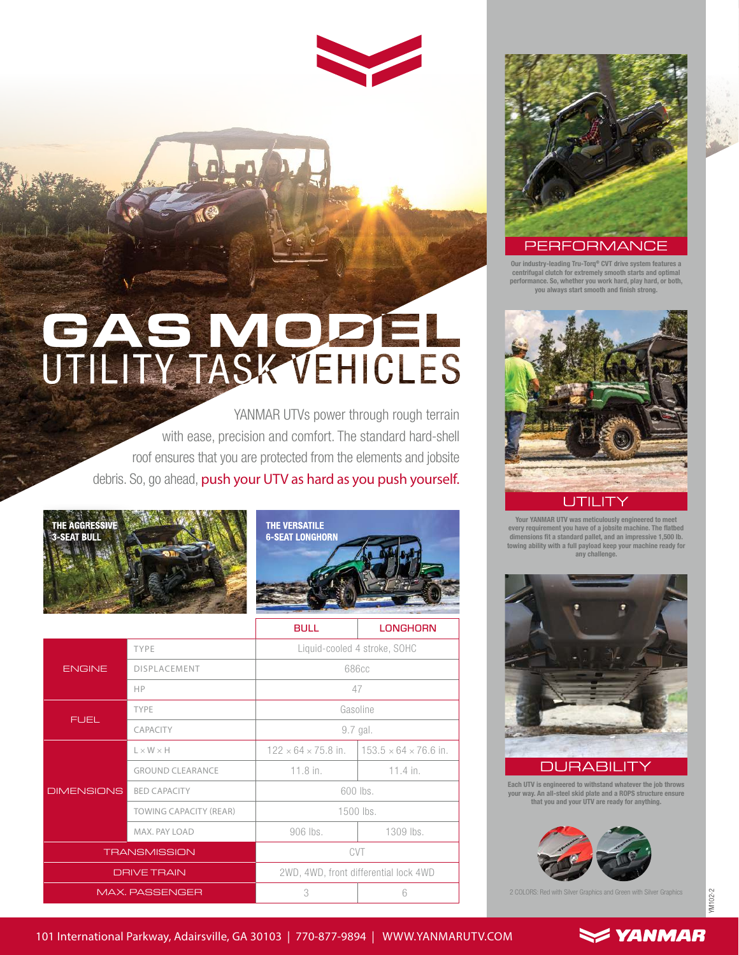## GAS MODEL

YANMAR UTVs power through rough terrain with ease, precision and comfort. The standard hard-shell roof ensures that you are protected from the elements and jobsite debris. So, go ahead, push your UTV as hard as you push yourself.





|                       |                               | <b>BULL</b>                           | <b>LONGHORN</b>                   |
|-----------------------|-------------------------------|---------------------------------------|-----------------------------------|
| <b>ENGINE</b>         | TYPE                          | Liquid-cooled 4 stroke, SOHC          |                                   |
|                       | <b>DISPLACEMENT</b>           | 686cc                                 |                                   |
|                       | HP                            | 47                                    |                                   |
| <b>FUEL</b>           | TYPE                          | Gasoline                              |                                   |
|                       | CAPACITY                      | 9.7 gal.                              |                                   |
| <b>DIMENSIONS</b>     | $L \times W \times H$         | $122 \times 64 \times 75.8$ in.       | $153.5 \times 64 \times 76.6$ in. |
|                       | <b>GROUND CLEARANCE</b>       | $11.8$ in.                            | $11.4$ in.                        |
|                       | <b>BED CAPACITY</b>           | 600 lbs.                              |                                   |
|                       | <b>TOWING CAPACITY (REAR)</b> | 1500 lbs.                             |                                   |
|                       | MAX. PAY LOAD                 | 906 lbs.                              | 1309 lbs.                         |
| <b>TRANSMISSION</b>   |                               | CVT                                   |                                   |
| <b>DRIVE TRAIN</b>    |                               | 2WD, 4WD, front differential lock 4WD |                                   |
| <b>MAX. PASSENGER</b> |                               | 3                                     | 6                                 |



Our industry-leading Tru-Torq® CVT drive system features a centrifugal clutch for extremely smooth starts and optimal performance. So, whether you work hard, play hard, or both, you always start smooth and finish strong.



Your YANMAR UTV was meticulously engineered to meet every requirement you have of a jobsite machine. The flatbed dimensions fit a standard pallet, and an impressive 1,500 lb. towing ability with a full payload keep your machine ready for any challenge.



## JRAE зII

Each UTV is engineered to withstand whatever the job throws your way. An all-steel skid plate and a ROPS structure ensure that you and your UTV are ready for anything.



2 COLORS: Red with Silver Graphics and Green with Silver Graphics

 $\leq$  YANMAR